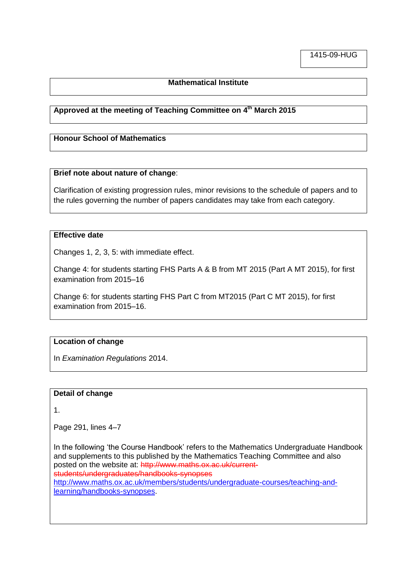### **Mathematical Institute**

#### **Approved at the meeting of Teaching Committee on 4 th March 2015**

### **Honour School of Mathematics**

#### **Brief note about nature of change**:

Clarification of existing progression rules, minor revisions to the schedule of papers and to the rules governing the number of papers candidates may take from each category.

## **Effective date**

Changes 1, 2, 3, 5: with immediate effect.

Change 4: for students starting FHS Parts A & B from MT 2015 (Part A MT 2015), for first examination from 2015–16

Change 6: for students starting FHS Part C from MT2015 (Part C MT 2015), for first examination from 2015–16.

## **Location of change**

In *Examination Regulations* 2014.

## **Detail of change**

1.

Page 291, lines 4–7

In the following 'the Course Handbook' refers to the Mathematics Undergraduate Handbook and supplements to this published by the Mathematics Teaching Committee and also posted on the website at: http://www.maths.ox.ac.uk/currentstudents/undergraduates/handbooks-synopses [http://www.maths.ox.ac.uk/members/students/undergraduate-courses/teaching-and](http://www.maths.ox.ac.uk/members/students/undergraduate-courses/teaching-and-learning/handbooks-synopses)[learning/handbooks-synopses.](http://www.maths.ox.ac.uk/members/students/undergraduate-courses/teaching-and-learning/handbooks-synopses)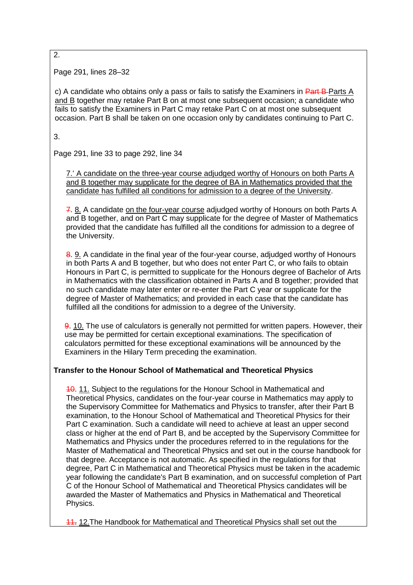2.

Page 291, lines 28–32

c) A candidate who obtains only a pass or fails to satisfy the Examiners in Part B-Parts A and B together may retake Part B on at most one subsequent occasion; a candidate who fails to satisfy the Examiners in Part C may retake Part C on at most one subsequent occasion. Part B shall be taken on one occasion only by candidates continuing to Part C.

3.

Page 291, line 33 to page 292, line 34

7.' A candidate on the three-year course adjudged worthy of Honours on both Parts A and B together may supplicate for the degree of BA in Mathematics provided that the candidate has fulfilled all conditions for admission to a degree of the University.

7. 8. A candidate on the four-year course adjudged worthy of Honours on both Parts A and B together, and on Part C may supplicate for the degree of Master of Mathematics provided that the candidate has fulfilled all the conditions for admission to a degree of the University.

8. 9. A candidate in the final year of the four-year course, adjudged worthy of Honours in both Parts A and B together, but who does not enter Part C, or who fails to obtain Honours in Part C, is permitted to supplicate for the Honours degree of Bachelor of Arts in Mathematics with the classification obtained in Parts A and B together; provided that no such candidate may later enter or re-enter the Part C year or supplicate for the degree of Master of Mathematics; and provided in each case that the candidate has fulfilled all the conditions for admission to a degree of the University.

9. 10. The use of calculators is generally not permitted for written papers. However, their use may be permitted for certain exceptional examinations. The specification of calculators permitted for these exceptional examinations will be announced by the Examiners in the Hilary Term preceding the examination.

# **Transfer to the Honour School of Mathematical and Theoretical Physics**

10. 11. Subject to the regulations for the Honour School in Mathematical and Theoretical Physics, candidates on the four-year course in Mathematics may apply to the Supervisory Committee for Mathematics and Physics to transfer, after their Part B examination, to the Honour School of Mathematical and Theoretical Physics for their Part C examination. Such a candidate will need to achieve at least an upper second class or higher at the end of Part B, and be accepted by the Supervisory Committee for Mathematics and Physics under the procedures referred to in the regulations for the Master of Mathematical and Theoretical Physics and set out in the course handbook for that degree. Acceptance is not automatic. As specified in the regulations for that degree, Part C in Mathematical and Theoretical Physics must be taken in the academic year following the candidate's Part B examination, and on successful completion of Part C of the Honour School of Mathematical and Theoretical Physics candidates will be awarded the Master of Mathematics and Physics in Mathematical and Theoretical Physics.

11. 12.The Handbook for Mathematical and Theoretical Physics shall set out the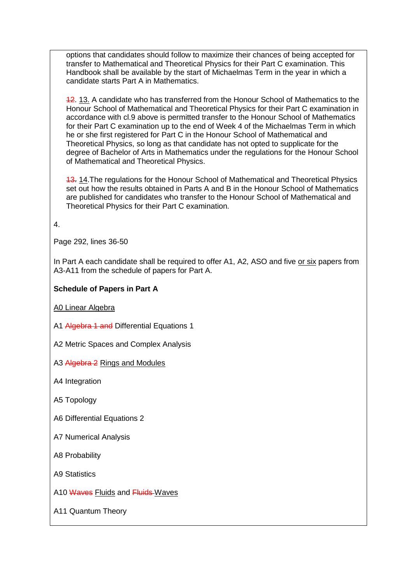options that candidates should follow to maximize their chances of being accepted for transfer to Mathematical and Theoretical Physics for their Part C examination. This Handbook shall be available by the start of Michaelmas Term in the year in which a candidate starts Part A in Mathematics.

12. 13. A candidate who has transferred from the Honour School of Mathematics to the Honour School of Mathematical and Theoretical Physics for their Part C examination in accordance with cl.9 above is permitted transfer to the Honour School of Mathematics for their Part C examination up to the end of Week 4 of the Michaelmas Term in which he or she first registered for Part C in the Honour School of Mathematical and Theoretical Physics, so long as that candidate has not opted to supplicate for the degree of Bachelor of Arts in Mathematics under the regulations for the Honour School of Mathematical and Theoretical Physics.

13. 14.The regulations for the Honour School of Mathematical and Theoretical Physics set out how the results obtained in Parts A and B in the Honour School of Mathematics are published for candidates who transfer to the Honour School of Mathematical and Theoretical Physics for their Part C examination.

4.

Page 292, lines 36-50

In Part A each candidate shall be required to offer A1, A2, ASO and five or six papers from A3-A11 from the schedule of papers for Part A.

# **Schedule of Papers in Part A**

A0 Linear Algebra

A1 Algebra 1 and Differential Equations 1

A2 Metric Spaces and Complex Analysis

A3 Algebra 2 Rings and Modules

A4 Integration

A5 Topology

A6 Differential Equations 2

A7 Numerical Analysis

A8 Probability

A9 Statistics

A10 Waves Fluids and Fluids Waves

A11 Quantum Theory